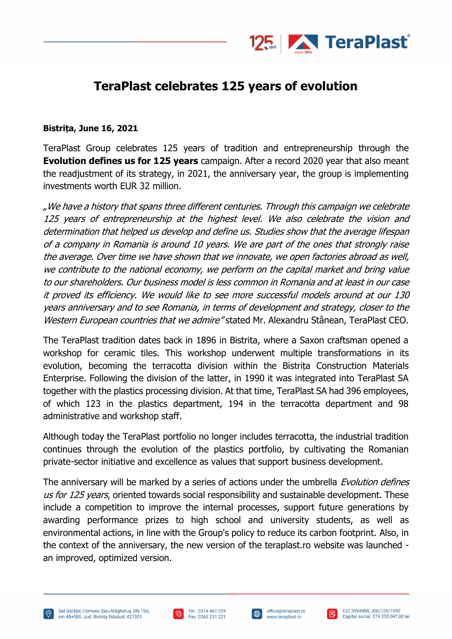

## **TeraPlast celebrates 125 years of evolution**

## **Bistrița, June 16, 2021**

TeraPlast Group celebrates 125 years of tradition and entrepreneurship through the **Evolution defines us for 125 years** campaign. After a record 2020 year that also meant the readjustment of its strategy, in 2021, the anniversary year, the group is implementing investments worth EUR 32 million.

"We have a history that spans three different centuries. Through this campaign we celebrate 125 years of entrepreneurship at the highest level. We also celebrate the vision and determination that helped us develop and define us. Studies show that the average lifespan of a company in Romania is around 10 years. We are part of the ones that strongly raise the average. Over time we have shown that we innovate, we open factories abroad as well, we contribute to the national economy, we perform on the capital market and bring value to our shareholders. Our business model is less common in Romania and at least in our case it proved its efficiency. We would like to see more successful models around at our 130 years anniversary and to see Romania, in terms of development and strategy, closer to the Western European countries that we admire" stated Mr. Alexandru Stânean, TeraPlast CEO.

The TeraPlast tradition dates back in 1896 in Bistrita, where a Saxon craftsman opened a workshop for ceramic tiles. This workshop underwent multiple transformations in its evolution, becoming the terracotta division within the Bistrița Construction Materials Enterprise. Following the division of the latter, in 1990 it was integrated into TeraPlast SA together with the plastics processing division. At that time, TeraPlast SA had 396 employees, of which 123 in the plastics department, 194 in the terracotta department and 98 administrative and workshop staff.

Although today the TeraPlast portfolio no longer includes terracotta, the industrial tradition continues through the evolution of the plastics portfolio, by cultivating the Romanian private-sector initiative and excellence as values that support business development.

The anniversary will be marked by a series of actions under the umbrella *Evolution defines* us for 125 years, oriented towards social responsibility and sustainable development. These include a competition to improve the internal processes, support future generations by awarding performance prizes to high school and university students, as well as environmental actions, in line with the Group's policy to reduce its carbon footprint. Also, in the context of the anniversary, the new version of the teraplast.ro website was launched an improved, optimized version.